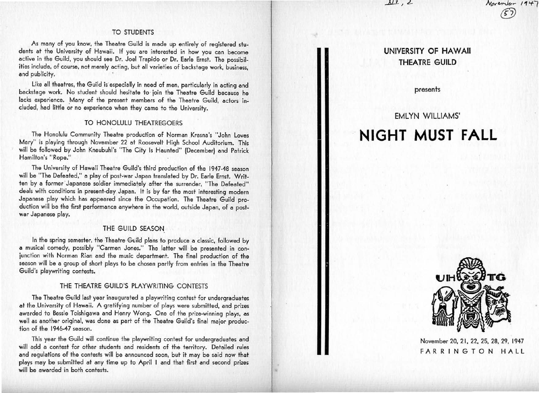#### *...l:J\_.1..* .I *c!.-*

# TO STUDENTS

As many of you know, the Theatre Guild is made up entirely of registered students at the University of Hawaii. If you are interested in how you can become active in the Guild, you should see Dr. Joel Trapido or Dr. Eorle Ernst. The possibilities include, of course, not merely acting, but all varieties of backstage work, business, and publicity.

Like all theatres, the Guild is especially in need of men, particularly in acting and backstage work. No student should hesitate to join the Theatre Guild because he lacks experience. Many of the present members of the Theatre Guild, actors included, had little or no experience when they came to the University.

# TO HONOLULU THEATREGOERS

The Honolulu Community Theatre production of Norman Krasna's "John Loves Mary" is playing through November 22 at Roosevelt High School Auditorium. This will be followed by John Kneubuhl's "The City Is Haunted" (December) and Patrick Hamilton's "Rope."

The University of Hawaii Theatre Guild's third production of the 1947-48 season will be "The Defeated," a play of post-war Japan translated by Dr. Earle Ernst. Written by a former Japanese soldier immediately after the surrender, "The Defeated" deals with conditions in present-day Japan. It is by far the most interesting modern Japanese play which has appeared since the Occupation. The Theotre Guild production will be the first performance anywhere in the world, outside Japan, of a postwar Japanese play.

#### THE GUILD SEASON

In the spring semester, the Theatre Guild plans to produce a classic, followed by a musical comedy, possibly "Carmen Jones." The latter will be presented in conjunction with Norman Rian and the music department. The final production of the season will be a group of short plays to be chosen partly from entries in the Theatre Guild's playwriting contests.

#### THE THEATRE GUILD'S PLAYWRITING CONTESTS

The Theatre Guild last year inaugurated a playwriting contest for undergraduates at the University of Hawaii. A gratifying number of plays were submitted, and prizes awarded to Bessie Toishigawa and Henry Wong. One of the prize-winning plays, as well as another original, was done as part of the Theatre Guild's final major production of the 1946-47 season.

This year the Guild will continue the playwriting contest for undergraduates and will add a contest for other students and residents of the territory. Detailed rules and requlations of the contests will be announced soon, but it may be said now that plays moy be submitted at any time up to April I and that first and second prizes will be awarded in both contests.

# **UNIVERSITY OF HAWAII THEATRE GUILD**

Jvp,~, *.. t 1 '+l ([])* 

presents

# EMLYN WILLIAMS' **NIGHT MUST FALL**



November 20, 21, 22, 25, 28, 29, 1947 FARRINGTON HALL